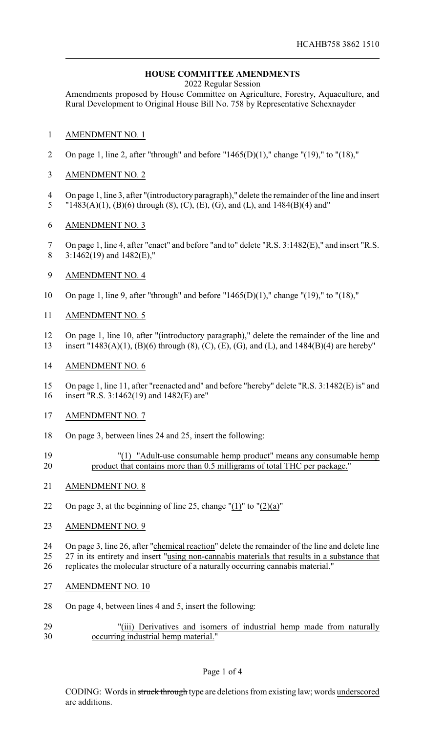## **HOUSE COMMITTEE AMENDMENTS**

2022 Regular Session

Amendments proposed by House Committee on Agriculture, Forestry, Aquaculture, and Rural Development to Original House Bill No. 758 by Representative Schexnayder

## AMENDMENT NO. 1

- 2 On page 1, line 2, after "through" and before "1465(D)(1)," change "(19)," to "(18),"
- AMENDMENT NO. 2
- On page 1, line 3, after "(introductory paragraph)," delete the remainder of the line and insert "1483(A)(1), (B)(6) through (8), (C), (E), (G), and (L), and 1484(B)(4) and"
- AMENDMENT NO. 3
- On page 1, line 4, after "enact" and before "and to" delete "R.S. 3:1482(E)," and insert "R.S. 3:1462(19) and 1482(E),"
- AMENDMENT NO. 4
- On page 1, line 9, after "through" and before "1465(D)(1)," change "(19)," to "(18),"
- AMENDMENT NO. 5
- On page 1, line 10, after "(introductory paragraph)," delete the remainder of the line and
- insert "1483(A)(1), (B)(6) through (8), (C), (E), (G), and (L), and 1484(B)(4) are hereby"
- AMENDMENT NO. 6
- On page 1, line 11, after "reenacted and" and before "hereby" delete "R.S. 3:1482(E) is" and insert "R.S. 3:1462(19) and 1482(E) are"
- AMENDMENT NO. 7
- On page 3, between lines 24 and 25, insert the following:
- "(1) "Adult-use consumable hemp product" means any consumable hemp product that contains more than 0.5 milligrams of total THC per package."
- AMENDMENT NO. 8
- 22 On page 3, at the beginning of line 25, change " $(1)$ " to " $(2)(a)$ "
- AMENDMENT NO. 9
- On page 3, line 26, after "chemical reaction" delete the remainder of the line and delete line
- 27 in its entirety and insert "using non-cannabis materials that results in a substance that
- replicates the molecular structure of a naturally occurring cannabis material."
- AMENDMENT NO. 10
- On page 4, between lines 4 and 5, insert the following:
- "(iii) Derivatives and isomers of industrial hemp made from naturally occurring industrial hemp material."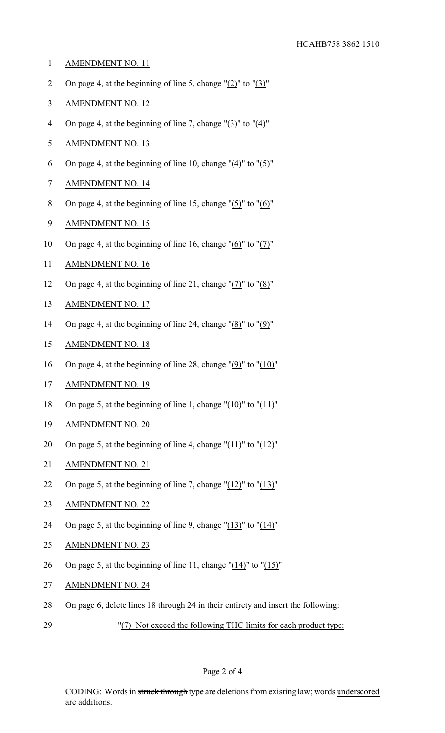- 1 AMENDMENT NO. 11
- 2 On page 4, at the beginning of line 5, change "(2)" to "(3)"
- 3 AMENDMENT NO. 12
- 4 On page 4, at the beginning of line 7, change  $\frac{1}{3}$  to  $\frac{1}{4}$ "
- 5 AMENDMENT NO. 13
- 6 On page 4, at the beginning of line 10, change  $"(\underline{4})"$  to  $"(\underline{5})"$
- 7 AMENDMENT NO. 14
- 8 On page 4, at the beginning of line 15, change "(5)" to "(6)"
- 9 AMENDMENT NO. 15
- 10 On page 4, at the beginning of line 16, change "(6)" to "(7)"
- 11 AMENDMENT NO. 16
- 12 On page 4, at the beginning of line 21, change " $(7)$ " to " $(8)$ "
- 13 AMENDMENT NO. 17
- 14 On page 4, at the beginning of line 24, change "(8)" to "(9)"
- 15 AMENDMENT NO. 18
- 16 On page 4, at the beginning of line 28, change " $(9)$ " to " $(10)$ "
- 17 AMENDMENT NO. 19
- 18 On page 5, at the beginning of line 1, change " $(10)$ " to " $(11)$ "
- 19 AMENDMENT NO. 20
- 20 On page 5, at the beginning of line 4, change "(11)" to "(12)"
- 21 AMENDMENT NO. 21
- 22 On page 5, at the beginning of line 7, change " $(12)$ " to " $(13)$ "
- 23 AMENDMENT NO. 22
- 24 On page 5, at the beginning of line 9, change " $(13)$ " to " $(14)$ "
- 25 AMENDMENT NO. 23
- 26 On page 5, at the beginning of line 11, change "(14)" to "(15)"
- 27 AMENDMENT NO. 24
- 28 On page 6, delete lines 18 through 24 in their entirety and insert the following:
- 29 "(7) Not exceed the following THC limits for each product type: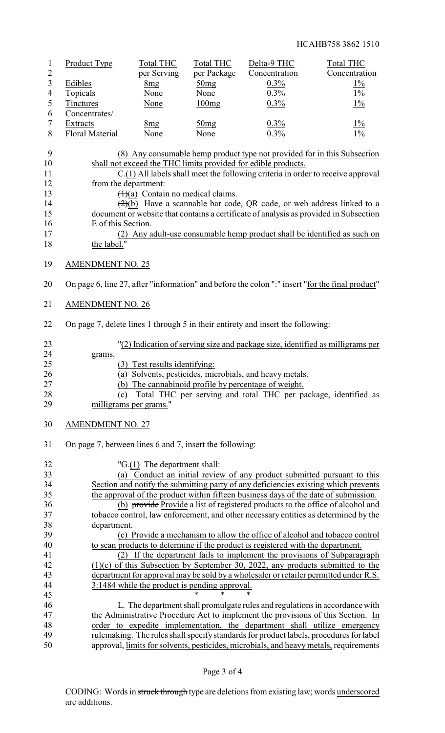|                | Product Type           | Total THC       | <b>Total THC</b> | Delta-9 THC   | Total THC     |
|----------------|------------------------|-----------------|------------------|---------------|---------------|
| $\overline{2}$ |                        | per Serving     | per Package      | Concentration | Concentration |
|                | Edibles                | 8 <sub>mg</sub> | 50mg             | $0.3\%$       | $1\%$         |
| $\overline{4}$ | Topicals               | None            | None             | 0.3%          | $1\%$         |
|                | Tinctures              | None            | 100mg            | 0.3%          | $1\%$         |
| 6              | Concentrates/          |                 |                  |               |               |
|                | Extracts               | 8mg             | 50mg             | $0.3\%$       | $1\%$         |
| 8              | <b>Floral Material</b> | None            | None             | 0.3%          | $1\%$         |

| - 9 | (8) Any consumable hemp product type not provided for in this Subsection                  |
|-----|-------------------------------------------------------------------------------------------|
| 10  | shall not exceed the THC limits provided for edible products.                             |
| 11  | C.(1) All labels shall meet the following criteria in order to receive approval           |
| 12  | from the department:                                                                      |
| 13  | $(1)(a)$ Contain no medical claims.                                                       |
| 14  | $\left(\frac{2}{2}\right)$ Have a scannable bar code, QR code, or web address linked to a |
| 15  | document or website that contains a certificate of analysis as provided in Subsection     |
| 16  | E of this Section.                                                                        |
| 17  | (2) Any adult-use consumable hemp product shall be identified as such on                  |
|     |                                                                                           |

- 18 the label."
- AMENDMENT NO. 25
- On page 6, line 27, after "information" and before the colon ":" insert "for the final product"
- AMENDMENT NO. 26
- On page 7, delete lines 1 through 5 in their entirety and insert the following:

| 23 | "(2) Indication of serving size and package size, identified as milligrams per |
|----|--------------------------------------------------------------------------------|
| 24 | grams.                                                                         |
| 25 | (3) Test results identifying:                                                  |
| 26 | (a) Solvents, pesticides, microbials, and heavy metals.                        |
| 27 | (b) The cannabinoid profile by percentage of weight.                           |
| 28 | Total THC per serving and total THC per package, identified as                 |
| 29 | milligrams per grams."                                                         |

- AMENDMENT NO. 27
- On page 7, between lines 6 and 7, insert the following:
- "G.(1) The department shall: (a) Conduct an initial review of any product submitted pursuant to this Section and notify the submitting party of any deficiencies existing which prevents the approval of the product within fifteen business days of the date of submission. 36 (b) provide Provide a list of registered products to the office of alcohol and tobacco control, law enforcement, and other necessary entities as determined by the department. (c) Provide a mechanism to allow the office of alcohol and tobacco control to scan products to determine if the product is registered with the department. (2) If the department fails to implement the provisions of Subparagraph (1)(c) of this Subsection by September 30, 2022, any products submitted to the department for approval may be sold by a wholesaler or retailer permitted under R.S. 3:1484 while the product is pending approval. 45 \* \* \* \* L. The department shall promulgate rules and regulations in accordance with the Administrative Procedure Act to implement the provisions of this Section. In order to expedite implementation, the department shall utilize emergency rulemaking. The rules shall specifystandards for product labels, procedures for label approval, limits for solvents, pesticides, microbials, and heavy metals, requirements